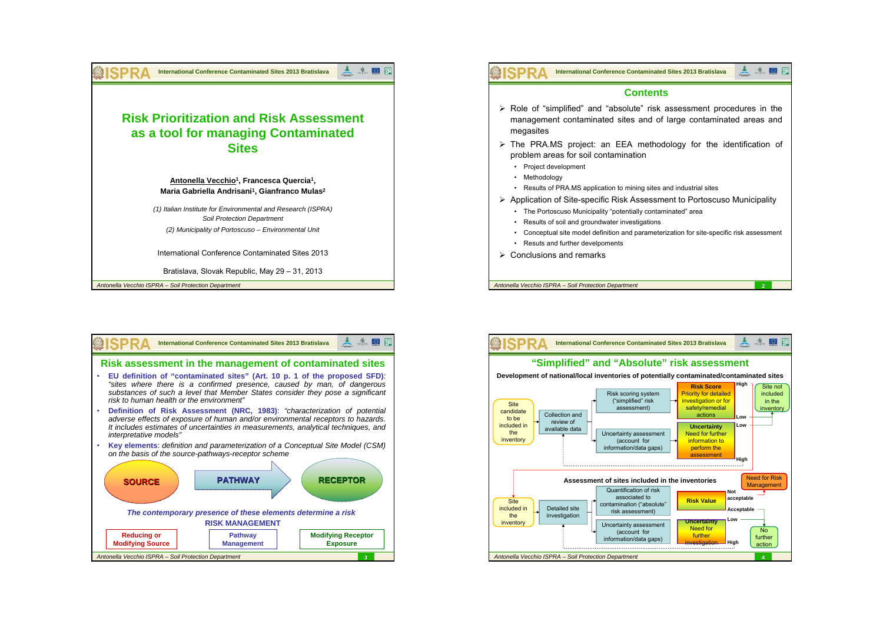

**SPRA** ▲ ◆ **International Conference Contaminated Sites 2013 Bratislava** $\Omega$ **Contents**¾ Role of "simplified" and "absolute" risk assessment procedures in the management contaminated sites and of large contaminated areas and megasites  $\triangleright$  The PRA.MS project: an EEA methodology for the identification of problem areas for soil contamination • Project development • Methodology • Results of PRA.MS application to mining sites and industrial sites ¾ Application of Site-specific Risk Assessment to Portoscuso Municipality • The Portoscuso Municipality "potentially contaminated" area • Results of soil and groundwater investigations Conceptual site model definition and parameterization for site-specific risk assessment • Resuts and further develpoments  $\triangleright$  Conclusions and remarks *Antonella Vecchio ISPRA – Soil Protection Department* **2**



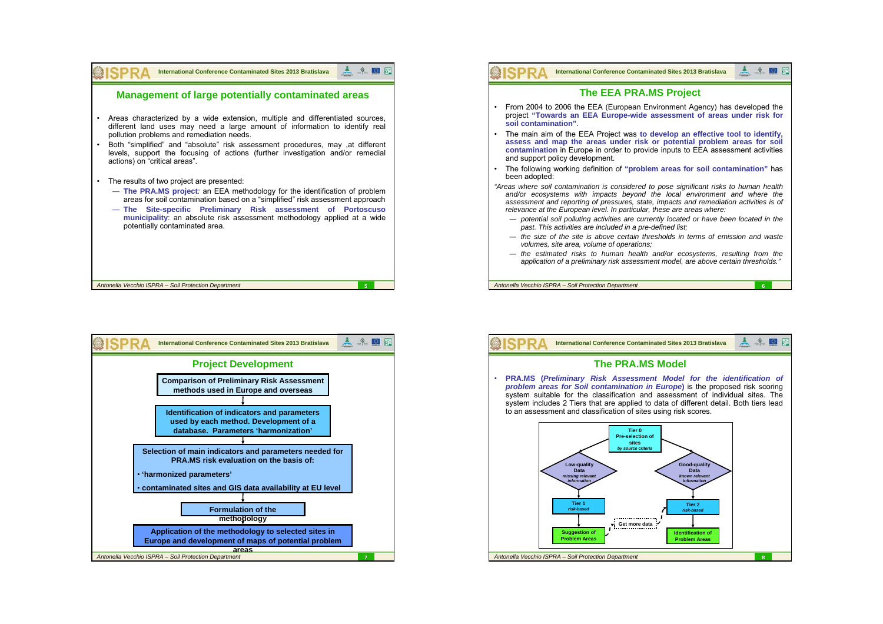

| <b>International Conference Contaminated Sites 2013 Bratislava</b>                                                           |
|------------------------------------------------------------------------------------------------------------------------------|
| <b>Project Development</b>                                                                                                   |
| <b>Comparison of Preliminary Risk Assessment</b><br>methods used in Europe and overseas                                      |
|                                                                                                                              |
| Identification of indicators and parameters<br>used by each method. Development of a<br>database. Parameters 'harmonization' |
|                                                                                                                              |
| Selection of main indicators and parameters needed for<br>PRA.MS risk evaluation on the basis of:                            |
| · 'harmonized parameters'                                                                                                    |
| contaminated sites and GIS data availability at EU level                                                                     |
| <b>Formulation of the</b><br>methodology                                                                                     |
| Application of the methodology to selected sites in<br>Europe and development of maps of potential problem                   |
| areas                                                                                                                        |
| Antonella Vecchio ISPRA - Soil Protection Department                                                                         |



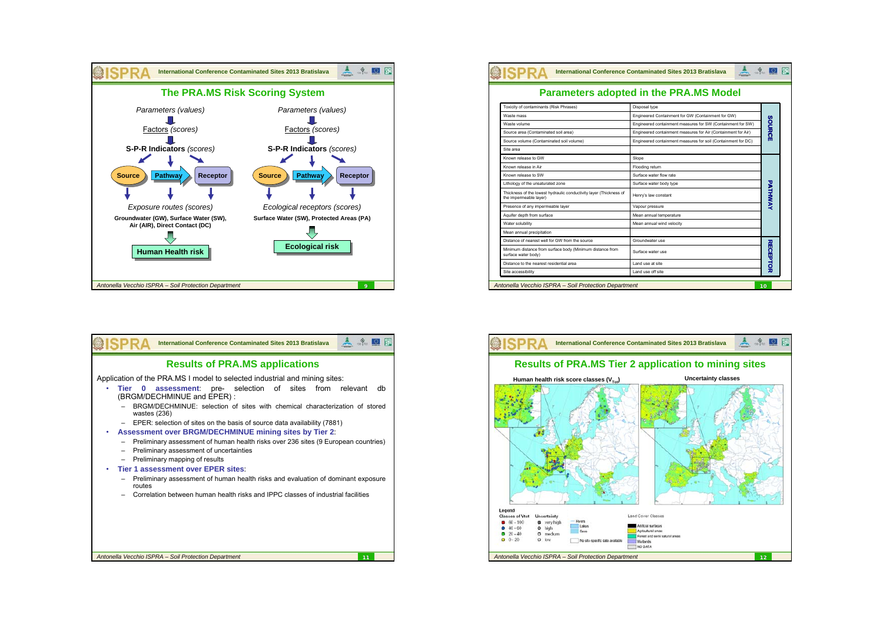



|                                                                                              | <b>Parameters adopted in the PRA.MS Model</b>                 |                 |
|----------------------------------------------------------------------------------------------|---------------------------------------------------------------|-----------------|
| Toxicity of contaminants (Risk Phrases)                                                      | Disposal type                                                 |                 |
| Waste mass                                                                                   | Engineered Containment for GW (Containment for GW)            | <b>SOURCE</b>   |
| Waste volume                                                                                 | Engineered containment measures for SW (Containment for SW)   |                 |
| Source area (Contaminated soil area)                                                         | Engineered containment measures for Air (Containment for Air) |                 |
| Source volume (Contaminated soil volume)                                                     | Engineered containment measures for soil (Containment for DC) |                 |
| Site area                                                                                    |                                                               |                 |
| Known release to GW                                                                          | Slope                                                         | PATHWAN         |
| Known release in Air                                                                         | Flooding return                                               |                 |
| Known release to SW                                                                          | Surface water flow rate                                       |                 |
| Lithology of the unsaturated zone                                                            | Surface water body type                                       |                 |
| Thickness of the lowest hydraulic conductivity layer (Thickness of<br>the impermeable layer) | Henry's law constant                                          |                 |
| Presence of any impermeable layer                                                            | Vapour pressure                                               |                 |
| Aquifer depth from surface                                                                   | Mean annual temperature                                       |                 |
| Water solubility                                                                             | Mean annual wind velocity                                     |                 |
| Mean annual precipitation                                                                    |                                                               |                 |
| Distance of nearest well for GW from the source                                              | Groundwater use                                               | <b>RECEPTOR</b> |
| Minimum distance from surface body (Minimum distance from<br>surface water body)             | Surface water use                                             |                 |
| Distance to the nearest residential area                                                     | I and use at site                                             |                 |

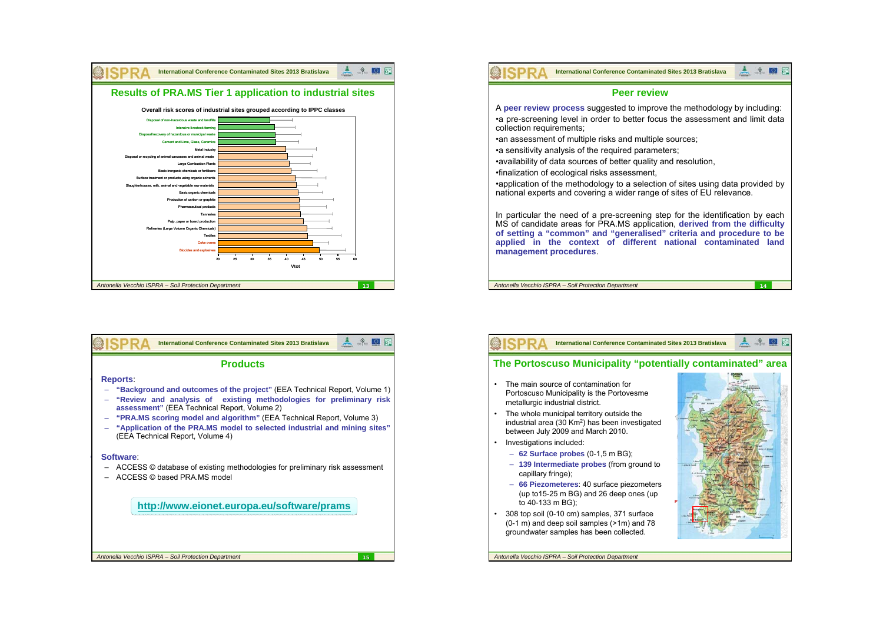





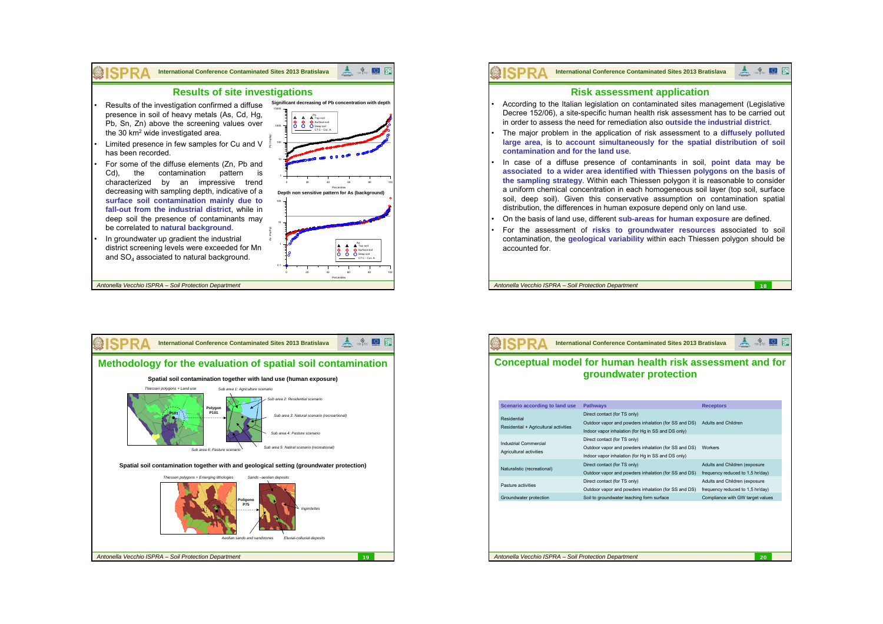